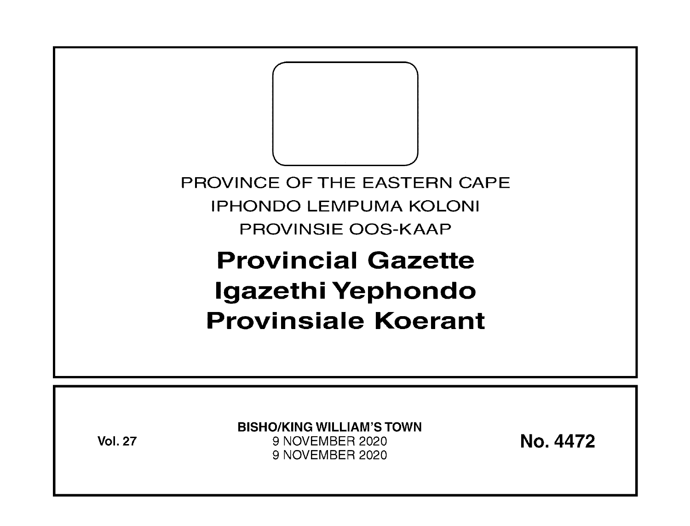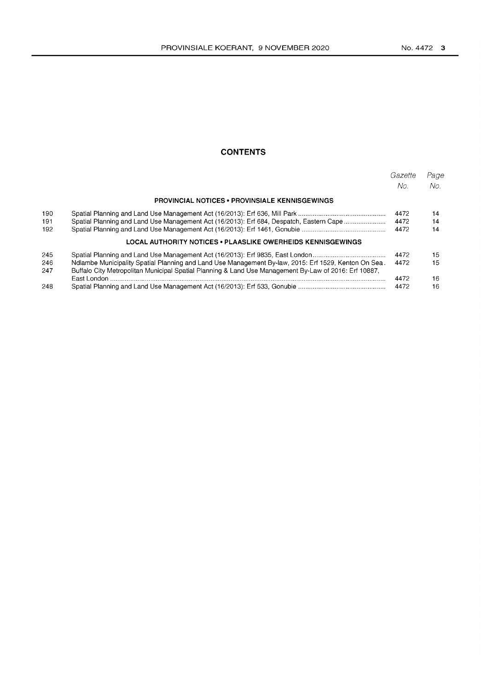## **CONTENTS**

|     |                                                                                                       | Gazette<br>No. | Page<br>No. |
|-----|-------------------------------------------------------------------------------------------------------|----------------|-------------|
|     | <b>PROVINCIAL NOTICES • PROVINSIALE KENNISGEWINGS</b>                                                 |                |             |
| 190 |                                                                                                       | 4472           | 14          |
| 191 | Spatial Planning and Land Use Management Act (16/2013): Erf 684, Despatch, Eastern Cape               | 4472           | 14          |
| 192 |                                                                                                       | 4472           | 14          |
|     | LOCAL AUTHORITY NOTICES • PLAASLIKE OWERHEIDS KENNISGEWINGS                                           |                |             |
| 245 | Spatial Planning and Land Use Management Act (16/2013): Erf 9835, East London                         | 4472           | 15          |
| 246 | Mdlambe Municipality Spatial Planning and Land Use Management By-law, 2015: Erf 1529, Kenton On Sea.  | 4472           | 15          |
| 247 | Buffalo City Metropolitan Municipal Spatial Planning & Land Use Management By-Law of 2016: Erf 10887, |                |             |
|     |                                                                                                       | 4472           | 16          |
| 248 |                                                                                                       | 4472           | 16          |
|     |                                                                                                       |                |             |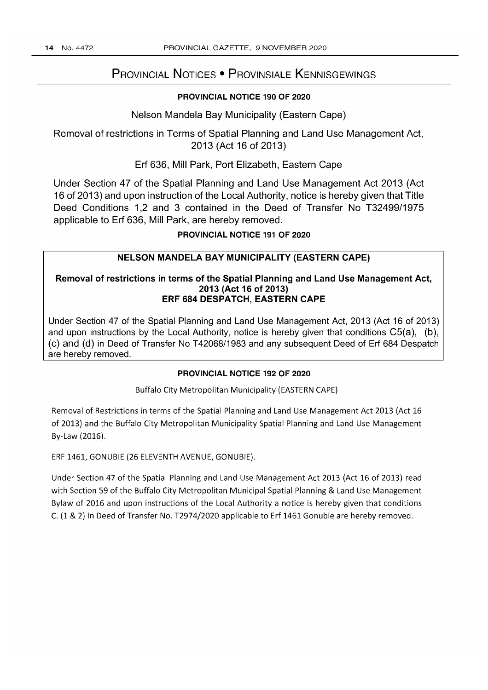## PROVINCIAL NOTICES • PROVINSIALE KENNISGEWINGS

## PROVINCIAL NOTICE 190 OF 2020

Nelson Mandela Bay Municipality (Eastern Cape)

Removal of restrictions in Terms of Spatial Planning and Land Use Management Act, 2013 (Act 16 of 2013)

Erf 636, Mill Park, Port Elizabeth, Eastern Cape

Under Section 47 of the Spatial Planning and Land Use Management Act 2013 (Act 16 of 2013) and upon instruction of the Local Authority, notice is hereby given that Title Deed Conditions 1,2 and 3 contained in the Deed of Transfer No T32499/1975 applicable to Erf 636, Mill Park, are hereby removed.

PROVINCIAL NOTICE 191 OF 2020

### NELSON MANDELA BAY MUNICIPALITY (EASTERN CAPE)

#### Removal of restrictions in terms of the Spatial Planning and Land Use Management Act, 2013 (Act 16 of 2013) ERF 684 DESPATCH, EASTERN CAPE

Under Section 47 of the Spatial Planning and Land Use Management Act, 2013 (Act 16 of 2013) and upon instructions by the Local Authority, notice is hereby given that conditions C5(a), (b), ( c) and (d) in Deed of Transfer No T 42068/1983 and any subsequent Deed of Erf 684 Despatch are hereby removed.

#### PROVINCIAL NOTICE 192 OF 2020

Buffalo City Metropolitan Municipality (EASTERN CAPE)

Removal of Restrictions in terms of the Spatial Planning and Land Use Management Act 2013 (Act 16 of 2013) and the Buffalo City Metropolitan Municipality Spatial Planning and Land Use Management By-Law (2016).

ERF 1461, GONUBIE (26 ELEVENTH AVENUE, GONUBIE).

Under Section 47 of the Spatial Planning and Land Use Management Act 2013 (Act 16 of 2013) read with Section 59 of the Buffalo City Metropolitan Municipal Spatial Planning & Land Use Management Bylaw of 2016 and upon instructions of the Local Authority a notice is hereby given that conditions C. (1 & 2) in Deed of Transfer No. T2974/2020 applicable to Erf 1461 Gonubie are hereby removed.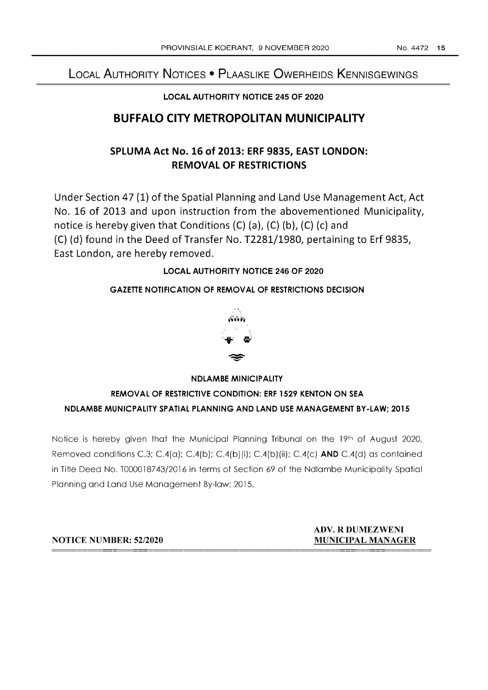# LOCAL AUTHORITY NOTICES • PLAASLIKE OWERHEIDS KENNISGEWINGS

## LOCAL AUTHORITY NOTICE 245 OF 2020

# BUFFALO CITY METROPOLITAN MUNICIPALITY

# SPLUMA Act No. 16 of 2013: ERF 9835, EAST LONDON: REMOVAL OF RESTRICTIONS

Under Section 47 (1) of the Spatial Planning and Land Use Management Act, Act No. 16 of 2013 and upon instruction from the abovementioned Municipality, notice is hereby given that Conditions  $(C)$  (a),  $(C)$  (b),  $(C)$  (c) and (C) (d) found in the Deed of Transfer No. T2281/1980, pertaining to Erf 9835, East London, are hereby removed.

## LOCAL AUTHORITY NOTICE 246 OF 2020

## GAZETTE NOTIFICATION OF REMOVAL OF RESTRICTIONS DECISION



## NDLAMBE MINICIPALITY

## REMOVAL OF RESTRICTIVE CONDITION: ERF 1529 KENTON ON SEA NDLAMBE MUNICPALITY SPATIAL PLANNING AND LAND USE MANAGEMENT BY-LAW; 2015

Notice is hereby given that the Municipal Planning Tribunal on the 19th of August 2020, Removed conditions C.3; C.4(a); C.4(b); C.4(b)(ii); C.4(b)(iii); C.4(c) AND C.4(d) as contained in Title Deed No. TO00018743/2016 in terms of Section 69 of the Ndlambe Municipality Spatial Planning and Land Use Management By-low; 2015.

NOTICE NUMBER: 52/2020

## ADV. R DUMEZWENI MUNICIPAL MANAGER